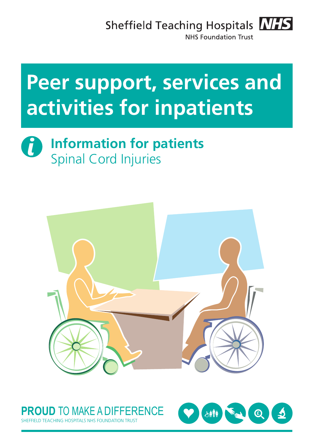## Sheffield Teaching Hospitals **NHS**



**NHS Foundation Trust** 

# **Peer support, services and activities for inpatients**





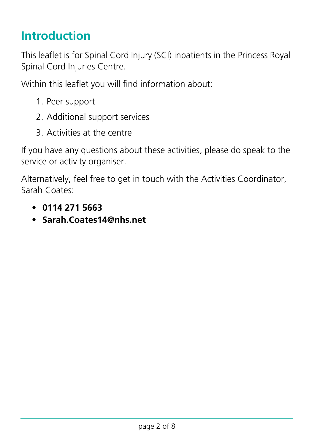## **Introduction**

This leaflet is for Spinal Cord Injury (SCI) inpatients in the Princess Royal Spinal Cord Injuries Centre.

Within this leaflet you will find information about:

- 1. Peer support
- 2. Additional support services
- 3. Activities at the centre

If you have any questions about these activities, please do speak to the service or activity organiser.

Alternatively, feel free to get in touch with the Activities Coordinator, Sarah Coates:

- **0114 271 5663**
- **[Sarah.Coates14@nhs.net](mailto:Sarah.Coates@sth.nhs.uk)**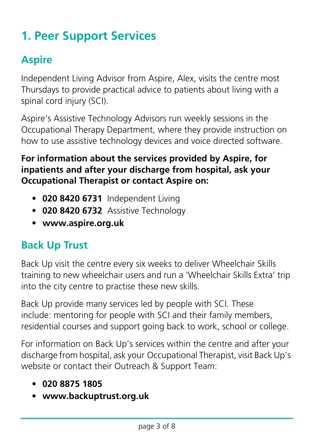## **1. Peer Support Services**

## **Aspire**

Independent Living Advisor from Aspire, Alex, visits the centre most Thursdays to provide practical advice to patients about living with a spinal cord injury (SCI).

Aspire's Assistive Technology Advisors run weekly sessions in the Occupational Therapy Department, where they provide instruction on how to use assistive technology devices and voice directed software.

#### **For information about the services provided by Aspire, for inpatients and after your discharge from hospital, ask your Occupational Therapist or contact Aspire on:**

- **020 8420 6731** Independent Living
- **020 8420 6732** Assistive Technology
- **[www.aspire.org.uk](http://www.aspire.org.uk)**

### **Back Up Trust**

Back Up visit the centre every six weeks to deliver Wheelchair Skills training to new wheelchair users and run a 'Wheelchair Skills Extra' trip into the city centre to practise these new skills.

Back Up provide many services led by people with SCI. These include: mentoring for people with SCI and their family members, residential courses and support going back to work, school or college.

For information on Back Up's services within the centre and after your discharge from hospital, ask your Occupational Therapist, visit Back Up's website or contact their Outreach & Support Team:

- **020 8875 1805**
- **[www.backuptrust.org.uk](http://www.backuptrust.org.uk)**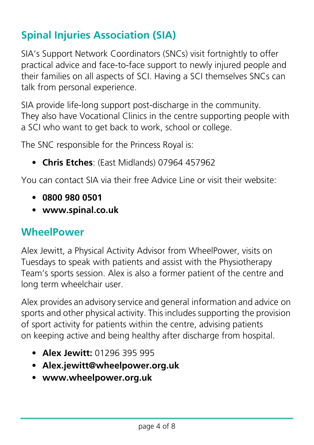## **Spinal Injuries Association (SIA)**

SIA's Support Network Coordinators (SNCs) visit fortnightly to offer practical advice and face-to-face support to newly injured people and their families on all aspects of SCI. Having a SCI themselves SNCs can talk from personal experience.

SIA provide life-long support post-discharge in the community. They also have Vocational Clinics in the centre supporting people with a SCI who want to get back to work, school or college.

The SNC responsible for the Princess Royal is:

• **Chris Etches**: (East Midlands) 07964 457962

You can contact SIA via their free Advice Line or visit their website:

- **0800 980 0501**
- **[www.spinal.co.uk](http://www.spinal.co.uk)**

#### **WheelPower**

Alex Jewitt, a Physical Activity Advisor from WheelPower, visits on Tuesdays to speak with patients and assist with the Physiotherapy Team's sports session. Alex is also a former patient of the centre and long term wheelchair user.

Alex provides an advisory service and general information and advice on sports and other physical activity. This includes supporting the provision of sport activity for patients within the centre, advising patients on keeping active and being healthy after discharge from hospital.

- **Alex Jewitt:** 01296 395 995
- **[Alex.jewitt@wheelpower.org.uk](mailto:alex.jewitt@wheelpower.org.uk)**
- **[www.wheelpower.org.uk](http://www.wheelpower.org.uk)**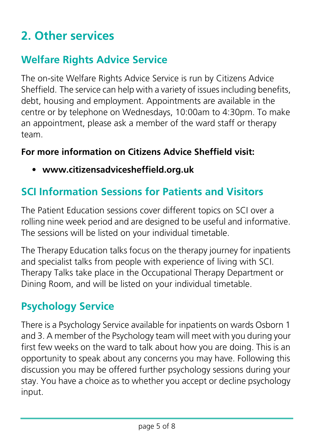## **2. Other services**

## **Welfare Rights Advice Service**

The on-site Welfare Rights Advice Service is run by Citizens Advice Sheffield. The service can help with a variety of issues including benefits, debt, housing and employment. Appointments are available in the centre or by telephone on Wednesdays, 10:00am to 4:30pm. To make an appointment, please ask a member of the ward staff or therapy team.

#### **For more information on Citizens Advice Sheffield visit:**

• **[www.citizensadvicesheffield.org.uk](http://www.citizensadvicesheffield.org.uk)**

## **SCI Information Sessions for Patients and Visitors**

The Patient Education sessions cover different topics on SCI over a rolling nine week period and are designed to be useful and informative. The sessions will be listed on your individual timetable.

The Therapy Education talks focus on the therapy journey for inpatients and specialist talks from people with experience of living with SCI. Therapy Talks take place in the Occupational Therapy Department or Dining Room, and will be listed on your individual timetable.

### **Psychology Service**

There is a Psychology Service available for inpatients on wards Osborn 1 and 3. A member of the Psychology team will meet with you during your first few weeks on the ward to talk about how you are doing. This is an opportunity to speak about any concerns you may have. Following this discussion you may be offered further psychology sessions during your stay. You have a choice as to whether you accept or decline psychology input.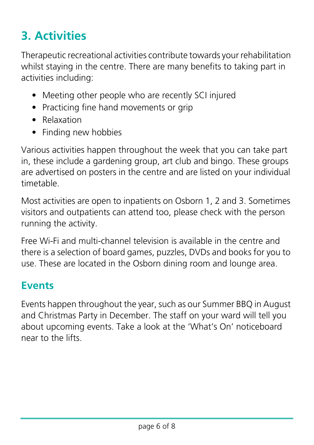## **3. Activities**

Therapeutic recreational activities contribute towards your rehabilitation whilst staying in the centre. There are many benefits to taking part in activities including:

- Meeting other people who are recently SCI injured
- Practicing fine hand movements or grip
- Relaxation
- Finding new hobbies

Various activities happen throughout the week that you can take part in, these include a gardening group, art club and bingo. These groups are advertised on posters in the centre and are listed on your individual timetable.

Most activities are open to inpatients on Osborn 1, 2 and 3. Sometimes visitors and outpatients can attend too, please check with the person running the activity.

Free Wi-Fi and multi-channel television is available in the centre and there is a selection of board games, puzzles, DVDs and books for you to use. These are located in the Osborn dining room and lounge area.

#### **Events**

Events happen throughout the year, such as our Summer BBQ in August and Christmas Party in December. The staff on your ward will tell you about upcoming events. Take a look at the 'What's On' noticeboard near to the lifts.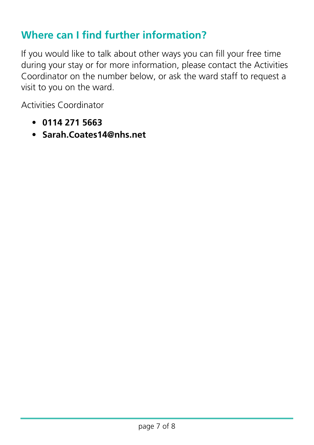#### **Where can I find further information?**

If you would like to talk about other ways you can fill your free time during your stay or for more information, please contact the Activities Coordinator on the number below, or ask the ward staff to request a visit to you on the ward.

Activities Coordinator

- **0114 271 5663**
- **[Sarah.Coates14@nhs.net](mailto:Sarah.Coates14@nhs.net)**